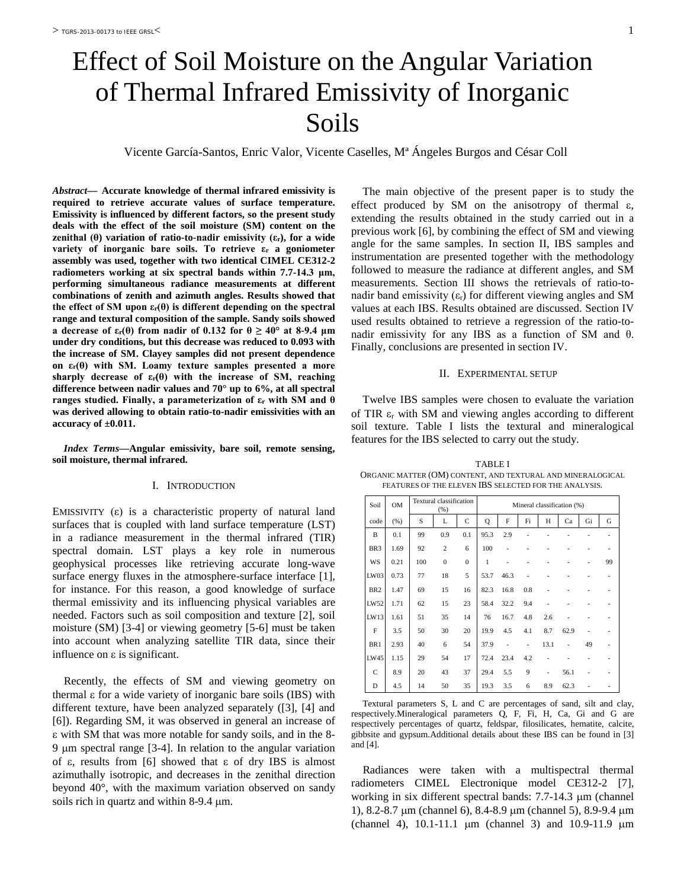# Effect of Soil Moisture on the Angular Variation of Thermal Infrared Emissivity of Inorganic Soils

Vicente García-Santos, Enric Valor, Vicente Caselles, Mª Ángeles Burgos and César Coll

*Abstract***— Accurate knowledge of thermal infrared emissivity is required to retrieve accurate values of surface temperature. Emissivity is influenced by different factors, so the present study deals with the effect of the soil moisture (SM) content on the zenithal (θ) variation of ratio-to-nadir emissivity (εr), for a wide variety of inorganic bare soils. To retrieve ε<sup>r</sup> a goniometer assembly was used, together with two identical CIMEL CE312-2 radiometers working at six spectral bands within 7.7-14.3 μm, performing simultaneous radiance measurements at different combinations of zenith and azimuth angles. Results showed that the effect of SM upon εr(θ) is different depending on the spectral range and textural composition of the sample. Sandy soils showed a** decrease of  $\varepsilon_r(\theta)$  from nadir of 0.132 for  $\theta \ge 40^\circ$  at 8-9.4 µm **under dry conditions, but this decrease was reduced to 0.093 with the increase of SM. Clayey samples did not present dependence on εr(θ) with SM. Loamy texture samples presented a more sharply decrease of εr(θ) with the increase of SM, reaching difference between nadir values and 70° up to 6%, at all spectral ranges studied. Finally, a parameterization of ε<sup>r</sup> with SM and θ was derived allowing to obtain ratio-to-nadir emissivities with an accuracy of ±0.011.**

*Index Terms***—Angular emissivity, bare soil, remote sensing, soil moisture, thermal infrared.**

## I. INTRODUCTION

EMISSIVITY  $(\varepsilon)$  is a characteristic property of natural land surfaces that is coupled with land surface temperature (LST) in a radiance measurement in the thermal infrared (TIR) spectral domain. LST plays a key role in numerous geophysical processes like retrieving accurate long-wave surface energy fluxes in the atmosphere-surface interface [1], for instance. For this reason, a good knowledge of surface thermal emissivity and its influencing physical variables are needed. Factors such as soil composition and texture [2], soil moisture (SM) [3-4] or viewing geometry [5-6] must be taken into account when analyzing satellite TIR data, since their influence on  $\varepsilon$  is significant.

Recently, the effects of SM and viewing geometry on thermal ε for a wide variety of inorganic bare soils (IBS) with different texture, have been analyzed separately ([3], [4] and [6]). Regarding SM, it was observed in general an increase of ε with SM that was more notable for sandy soils, and in the 8- 9 µm spectral range [3-4]. In relation to the angular variation of ε, results from [6] showed that ε of dry IBS is almost azimuthally isotropic, and decreases in the zenithal direction beyond 40°, with the maximum variation observed on sandy soils rich in quartz and within 8-9.4  $\mu$ m.

The main objective of the present paper is to study the effect produced by SM on the anisotropy of thermal  $\varepsilon$ , extending the results obtained in the study carried out in a previous work [6], by combining the effect of SM and viewing angle for the same samples. In section II, IBS samples and instrumentation are presented together with the methodology followed to measure the radiance at different angles, and SM measurements. Section III shows the retrievals of ratio-tonadir band emissivity  $(\varepsilon_r)$  for different viewing angles and SM values at each IBS. Results obtained are discussed. Section IV used results obtained to retrieve a regression of the ratio-tonadir emissivity for any IBS as a function of SM and θ. Finally, conclusions are presented in section IV.

# II. EXPERIMENTAL SETUP

Twelve IBS samples were chosen to evaluate the variation of TIR  $\varepsilon_r$  with SM and viewing angles according to different soil texture. Table I lists the textural and mineralogical features for the IBS selected to carry out the study.

TABLE I ORGANIC MATTER (OM) CONTENT, AND TEXTURAL AND MINERALOGICAL FEATURES OF THE ELEVEN IBS SELECTED FOR THE ANALYSIS.

| Soil            | <b>OM</b> | Textural classification<br>(% ) |                |              | Mineral classification (%) |      |                              |      |                |    |                |  |
|-----------------|-----------|---------------------------------|----------------|--------------|----------------------------|------|------------------------------|------|----------------|----|----------------|--|
| code            | (% )      | S                               | L              | C            | Q                          | F    | Fi                           | H    | Ca             | Gi | G              |  |
| B               | 0.1       | 99                              | 0.9            | 0.1          | 95.3                       | 2.9  |                              |      |                |    | -              |  |
| BR <sub>3</sub> | 1.69      | 92                              | $\overline{c}$ | 6            | 100                        | -    |                              |      |                |    | ٠              |  |
| WS              | 0.21      | 100                             | $\mathbf{0}$   | $\mathbf{0}$ | 1                          |      |                              |      |                |    | 99             |  |
| LW03            | 0.73      | 77                              | 18             | 5            | 53.7                       | 46.3 |                              |      |                |    | $\overline{a}$ |  |
| BR <sub>2</sub> | 1.47      | 69                              | 15             | 16           | 82.3                       | 16.8 | 0.8                          |      |                |    |                |  |
| LW52            | 1.71      | 62                              | 15             | 23           | 58.4                       | 32.2 | 9.4                          |      |                |    |                |  |
| LW13            | 1.61      | 51                              | 35             | 14           | 76                         | 16.7 | 4.8                          | 2.6  |                |    | -              |  |
| F               | 3.5       | 50                              | 30             | 20           | 19.9                       | 4.5  | 4.1                          | 8.7  | 62.9           |    |                |  |
| BR1             | 2.93      | 40                              | 6              | 54           | 37.9                       | ÷    | $\qquad \qquad \blacksquare$ | 13.1 | $\overline{a}$ | 49 | ٠              |  |
| LW45            | 1.15      | 29                              | 54             | 17           | 72.4                       | 23.4 | 4.2                          |      |                |    | -              |  |
| $\mathsf{C}$    | 8.9       | 20                              | 43             | 37           | 29.4                       | 5.5  | 9                            | ٠    | 56.1           |    | -              |  |
| D               | 4.5       | 14                              | 50             | 35           | 19.3                       | 3.5  | 6                            | 8.9  | 62.3           |    |                |  |

Textural parameters S, L and C are percentages of sand, silt and clay, respectively.Mineralogical parameters Q, F, Fi, H, Ca, Gi and G are respectively percentages of quartz, feldspar, filosilicates, hematite, calcite, gibbsite and gypsum.Additional details about these IBS can be found in [3] and [4].

Radiances were taken with a multispectral thermal radiometers CIMEL Electronique model CE312-2 [7], working in six different spectral bands: 7.7-14.3 µm (channel 1), 8.2-8.7 µm (channel 6), 8.4-8.9 µm (channel 5), 8.9-9.4 µm (channel 4), 10.1-11.1 µm (channel 3) and 10.9-11.9 µm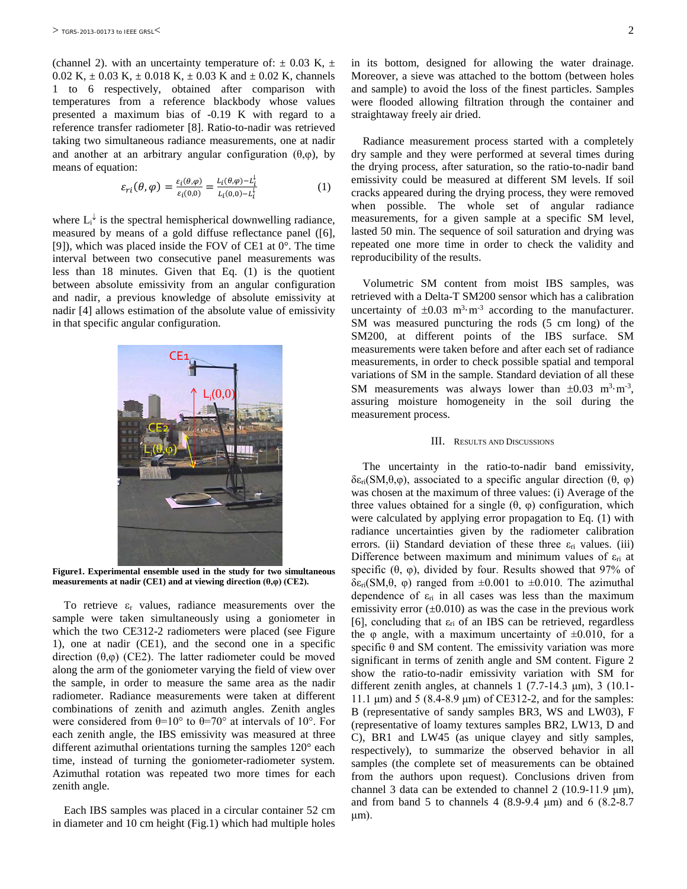(channel 2). with an uncertainty temperature of:  $\pm$  0.03 K,  $\pm$ 0.02 K,  $\pm$  0.03 K,  $\pm$  0.018 K,  $\pm$  0.03 K and  $\pm$  0.02 K, channels 1 to 6 respectively, obtained after comparison with temperatures from a reference blackbody whose values presented a maximum bias of -0.19 K with regard to a reference transfer radiometer [8]. Ratio-to-nadir was retrieved taking two simultaneous radiance measurements, one at nadir and another at an arbitrary angular configuration  $(θ, φ)$ , by means of equation:

$$
\varepsilon_{ri}(\theta,\varphi) = \frac{\varepsilon_i(\theta,\varphi)}{\varepsilon_i(0,0)} = \frac{L_i(\theta,\varphi) - L_i^{\downarrow}}{L_i(0,0) - L_i^{\downarrow}} \tag{1}
$$

where  $L_i^{\downarrow}$  is the spectral hemispherical downwelling radiance, measured by means of a gold diffuse reflectance panel ([6], [9]), which was placed inside the FOV of CE1 at 0°. The time interval between two consecutive panel measurements was less than 18 minutes. Given that Eq. (1) is the quotient between absolute emissivity from an angular configuration and nadir, a previous knowledge of absolute emissivity at nadir [4] allows estimation of the absolute value of emissivity in that specific angular configuration.



**Figure1. Experimental ensemble used in the study for two simultaneous measurements at nadir (CE1) and at viewing direction (θ,φ) (CE2).**

To retrieve  $\varepsilon_r$  values, radiance measurements over the sample were taken simultaneously using a goniometer in which the two CE312-2 radiometers were placed (see Figure 1), one at nadir (CE1), and the second one in a specific direction (θ,φ) (CE2). The latter radiometer could be moved along the arm of the goniometer varying the field of view over the sample, in order to measure the same area as the nadir radiometer. Radiance measurements were taken at different combinations of zenith and azimuth angles. Zenith angles were considered from  $\theta=10^{\circ}$  to  $\theta=70^{\circ}$  at intervals of 10°. For each zenith angle, the IBS emissivity was measured at three different azimuthal orientations turning the samples 120° each time, instead of turning the goniometer-radiometer system. Azimuthal rotation was repeated two more times for each zenith angle.

Each IBS samples was placed in a circular container 52 cm in diameter and 10 cm height (Fig.1) which had multiple holes

in its bottom, designed for allowing the water drainage. Moreover, a sieve was attached to the bottom (between holes and sample) to avoid the loss of the finest particles. Samples were flooded allowing filtration through the container and straightaway freely air dried.

Radiance measurement process started with a completely dry sample and they were performed at several times during the drying process, after saturation, so the ratio-to-nadir band emissivity could be measured at different SM levels. If soil cracks appeared during the drying process, they were removed when possible. The whole set of angular radiance measurements, for a given sample at a specific SM level, lasted 50 min. The sequence of soil saturation and drying was repeated one more time in order to check the validity and reproducibility of the results.

Volumetric SM content from moist IBS samples, was retrieved with a Delta-T SM200 sensor which has a calibration uncertainty of  $\pm 0.03$  m<sup>3</sup> $\cdot$ m<sup>-3</sup> according to the manufacturer. SM was measured puncturing the rods (5 cm long) of the SM200, at different points of the IBS surface. SM measurements were taken before and after each set of radiance measurements, in order to check possible spatial and temporal variations of SM in the sample. Standard deviation of all these SM measurements was always lower than  $\pm 0.03$  m<sup>3</sup>·m<sup>-3</sup>, assuring moisture homogeneity in the soil during the measurement process.

#### III. RESULTS AND DISCUSSIONS

The uncertainty in the ratio-to-nadir band emissivity,  $\delta \epsilon_{ri}$ (SM,θ,φ), associated to a specific angular direction (θ, φ) was chosen at the maximum of three values: (i) Average of the three values obtained for a single  $(θ, φ)$  configuration, which were calculated by applying error propagation to Eq. (1) with radiance uncertainties given by the radiometer calibration errors. (ii) Standard deviation of these three  $\varepsilon_{ri}$  values. (iii) Difference between maximum and minimum values of  $\varepsilon_{ri}$  at specific  $(\theta, \varphi)$ , divided by four. Results showed that 97% of δε<sub>ri</sub>(SM,θ, φ) ranged from  $\pm 0.001$  to  $\pm 0.010$ . The azimuthal dependence of  $\varepsilon_{ri}$  in all cases was less than the maximum emissivity error  $(\pm 0.010)$  as was the case in the previous work [6], concluding that  $\varepsilon_{ri}$  of an IBS can be retrieved, regardless the  $\varphi$  angle, with a maximum uncertainty of  $\pm 0.010$ , for a specific  $\theta$  and SM content. The emissivity variation was more significant in terms of zenith angle and SM content. Figure 2 show the ratio-to-nadir emissivity variation with SM for different zenith angles, at channels  $1$  (7.7-14.3  $\mu$ m), 3 (10.1-11.1 μm) and 5 (8.4-8.9 μm) of CE312-2, and for the samples: B (representative of sandy samples BR3, WS and LW03), F (representative of loamy textures samples BR2, LW13, D and C), BR1 and LW45 (as unique clayey and sitly samples, respectively), to summarize the observed behavior in all samples (the complete set of measurements can be obtained from the authors upon request). Conclusions driven from channel 3 data can be extended to channel 2 (10.9-11.9 μm), and from band 5 to channels 4 (8.9-9.4  $\mu$ m) and 6 (8.2-8.7 μm).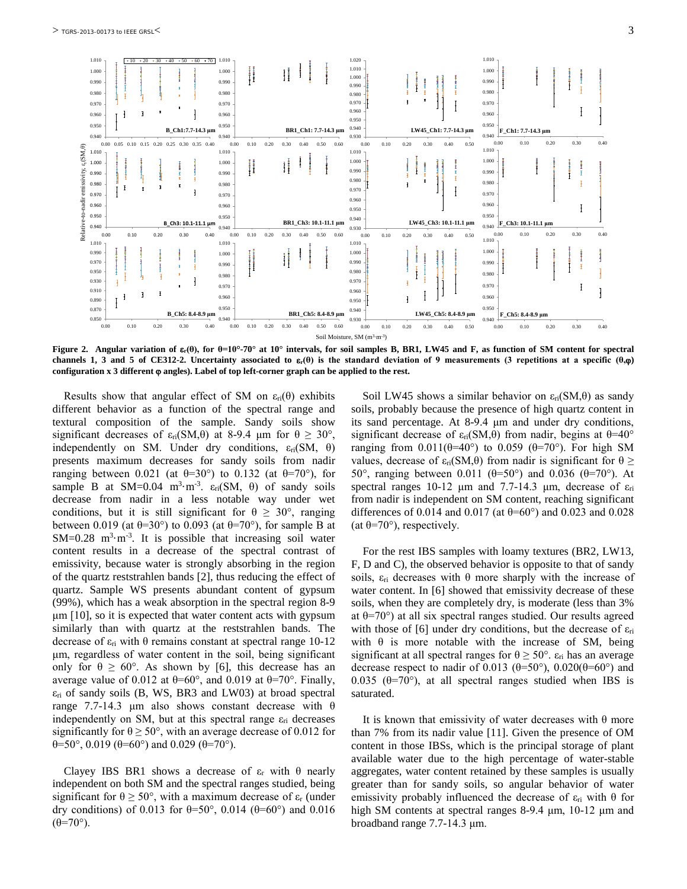

**Figure 2. Angular variation of** ε**r(θ), for θ=10°-70° at 10° intervals, for soil samples B, BR1, LW45 and F, as function of SM content for spectral**  channels 1, 3 and 5 of CE312-2. Uncertainty associated to  $\varepsilon_r(\theta)$  is the standard deviation of 9 measurements (3 repetitions at a specific  $(\theta,\varphi)$ ) **configuration x 3 different** ϕ **angles). Label of top left-corner graph can be applied to the rest.**

Results show that angular effect of SM on  $\varepsilon_{ri}(\theta)$  exhibits different behavior as a function of the spectral range and textural composition of the sample. Sandy soils show significant decreases of  $\varepsilon_{ri}(SM,\theta)$  at 8-9.4 μm for  $\theta \geq 30^{\circ}$ , independently on SM. Under dry conditions,  $\varepsilon_{ri}(SM, \theta)$ presents maximum decreases for sandy soils from nadir ranging between 0.021 (at  $\theta = 30^{\circ}$ ) to 0.132 (at  $\theta = 70^{\circ}$ ), for sample B at SM=0.04 m<sup>3</sup>·m<sup>-3</sup>.  $\varepsilon_{ri}(SM, \theta)$  of sandy soils decrease from nadir in a less notable way under wet conditions, but it is still significant for  $\theta \geq 30^{\circ}$ , ranging between 0.019 (at  $\theta$ =30°) to 0.093 (at  $\theta$ =70°), for sample B at  $SM=0.28$  m<sup>3</sup>·m<sup>-3</sup>. It is possible that increasing soil water content results in a decrease of the spectral contrast of emissivity, because water is strongly absorbing in the region of the quartz reststrahlen bands [2], thus reducing the effect of quartz. Sample WS presents abundant content of gypsum (99%), which has a weak absorption in the spectral region 8-9 μm [10], so it is expected that water content acts with gypsum similarly than with quartz at the reststrahlen bands. The decrease of  $ε<sub>ri</sub>$  with θ remains constant at spectral range 10-12 μm, regardless of water content in the soil, being significant only for  $\theta \ge 60^{\circ}$ . As shown by [6], this decrease has an average value of 0.012 at  $\theta$ =60°, and 0.019 at  $\theta$ =70°. Finally,  $\varepsilon_{ri}$  of sandy soils (B, WS, BR3 and LW03) at broad spectral range 7.7-14.3 μm also shows constant decrease with θ independently on SM, but at this spectral range  $\varepsilon_{ri}$  decreases significantly for  $\theta \ge 50^{\circ}$ , with an average decrease of 0.012 for θ=50°, 0.019 (θ=60°) and 0.029 (θ=70°).

Clayey IBS BR1 shows a decrease of  $\varepsilon_r$  with  $\theta$  nearly independent on both SM and the spectral ranges studied, being significant for  $\theta \ge 50^{\circ}$ , with a maximum decrease of  $\varepsilon_r$  (under dry conditions) of 0.013 for  $\theta$ =50°, 0.014 ( $\theta$ =60°) and 0.016  $(\theta=70^{\circ})$ .

Soil LW45 shows a similar behavior on  $\varepsilon_{ri}$ (SM, $\theta$ ) as sandy soils, probably because the presence of high quartz content in its sand percentage. At 8-9.4 μm and under dry conditions, significant decrease of  $\varepsilon_{ri}(SM,\theta)$  from nadir, begins at  $\theta=40^{\circ}$ ranging from  $0.011(\theta=40^\circ)$  to  $0.059$  ( $\theta=70^\circ$ ). For high SM values, decrease of  $\varepsilon_{ri}(SM,\theta)$  from nadir is significant for  $\theta \ge$ 50°, ranging between 0.011 (θ=50°) and 0.036 (θ=70°). At spectral ranges 10-12 μm and 7.7-14.3 μm, decrease of  $\varepsilon_{ri}$ from nadir is independent on SM content, reaching significant differences of 0.014 and 0.017 (at  $\theta$ =60°) and 0.023 and 0.028 (at  $\theta$ =70°), respectively.

For the rest IBS samples with loamy textures (BR2, LW13, F, D and C), the observed behavior is opposite to that of sandy soils,  $\varepsilon_{ri}$  decreases with  $\theta$  more sharply with the increase of water content. In [6] showed that emissivity decrease of these soils, when they are completely dry, is moderate (less than 3% at  $\theta$ =70°) at all six spectral ranges studied. Our results agreed with those of [6] under dry conditions, but the decrease of  $\varepsilon_{ri}$ with  $\theta$  is more notable with the increase of SM, being significant at all spectral ranges for  $\theta \ge 50^{\circ}$ .  $\varepsilon_{ri}$  has an average decrease respect to nadir of 0.013 ( $\theta$ =50°), 0.020( $\theta$ =60°) and 0.035 ( $\theta$ =70°), at all spectral ranges studied when IBS is saturated.

It is known that emissivity of water decreases with θ more than 7% from its nadir value [11]. Given the presence of OM content in those IBSs, which is the principal storage of plant available water due to the high percentage of water-stable aggregates, water content retained by these samples is usually greater than for sandy soils, so angular behavior of water emissivity probably influenced the decrease of  $\varepsilon_{ri}$  with  $\theta$  for high SM contents at spectral ranges 8-9.4 μm, 10-12 μm and broadband range 7.7-14.3 μm.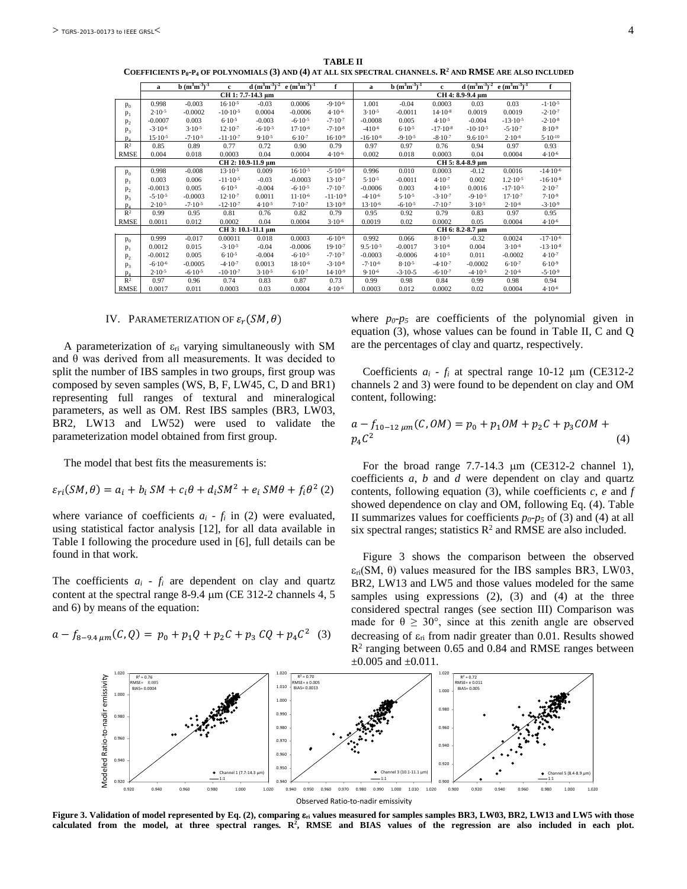**TABLE II COEFFICIENTS P0-P4 OF POLYNOMIALS (3) AND (4) AT ALL SIX SPECTRAL CHANNELS. R2 AND RMSE ARE ALSO INCLUDED**

|                | a                  | $b(m^3m^3)^{-1}$ | c                   | $d (m^3m^3)^{-2}$ | $e(m^3m^3)^{-1}$   | f            | a                   | $b(m^3m^3)^{-1}$ | c            | $d (m^3m^3)^{-2}$   | $e (m^3 m^3)^{-1}$  | f             |  |  |
|----------------|--------------------|------------------|---------------------|-------------------|--------------------|--------------|---------------------|------------------|--------------|---------------------|---------------------|---------------|--|--|
|                | CH 1: 7.7-14.3 μm  |                  |                     |                   |                    |              |                     | CH 4: 8.9-9.4 μm |              |                     |                     |               |  |  |
| $p_0$          | 0.998              | $-0.003$         | $16.10-5$           | $-0.03$           | 0.0006             | $-9.10-6$    | 1.001               | $-0.04$          | 0.0003       | 0.03                | 0.03                | $-1.10-5$     |  |  |
| P <sub>1</sub> | $2.10 - 5$         | $-0.0002$        | $-10.10-5$          | 0.0004            | $-0.0006$          | $4.10 - 6$   | $3.10 - 5$          | $-0.0011$        | $14.10^{-8}$ | 0.0019              | 0.0019              | $-2.10^{-7}$  |  |  |
| $p_{2}$        | $-0.0007$          | 0.003            | $6.10 - 5$          | $-0.003$          | $-6.10^{-5}$       | $-7.10-7$    | $-0.0008$           | 0.005            | $4.10 - 5$   | $-0.004$            | $-13 \cdot 10^{-5}$ | $-2.10^{-8}$  |  |  |
| p <sub>3</sub> | $-3.10-6$          | $3.10 - 5$       | $12.10^{-7}$        | $-6.10-5$         | $17.10 - 6$        | $-7.10-8$    | $-410-6$            | $6.10 - 5$       | $-17.10-8$   | $-10.10-5$          | $-5.10^{-7}$        | $8.10 - 9$    |  |  |
| $p_4$          | $15.10 - 5$        | $-7.10-5$        | $-11-10-7$          | $9.10 - 5$        | $6.10 - 7$         | $16.10-9$    | $-16.10-6$          | $-9.10-5$        | $-8.10-7$    | $9.6 \cdot 10^{-5}$ | $2.10 - 6$          | $5.10 - 10$   |  |  |
| R <sup>2</sup> | 0.85               | 0.89             | 0.77                | 0.72              | 0.90               | 0.79         | 0.97                | 0.97             | 0.76         | 0.94                | 0.97                | 0.93          |  |  |
| <b>RMSE</b>    | 0.004              | 0.018            | 0.0003              | 0.04              | 0.0004             | $4.10 - 6$   | 0.002               | 0.018            | 0.0003       | 0.04                | 0.0004              | $4.10 - 6$    |  |  |
|                | CH 2: 10.9-11.9 μm |                  |                     |                   |                    |              |                     | CH 5: 8.4-8.9 μm |              |                     |                     |               |  |  |
| P <sub>0</sub> | 0.998              | $-0.008$         | $13 \cdot 10^{-5}$  | 0.009             | $16.10^{-5}$       | $-5.10^{-6}$ | 0.996               | 0.010            | 0.0003       | $-0.12$             | 0.0016              | $-14.10-6$    |  |  |
| $P_1$          | 0.003              | 0.006            | $-11 \cdot 10^{-5}$ | $-0.03$           | $-0.0003$          | $13.10^{-7}$ | $5.10 - 5$          | $-0.0011$        | $4.10^{-7}$  | 0.002               | $1.2 \cdot 10^{-5}$ | $-16.10-8$    |  |  |
| P <sub>2</sub> | $-0.0013$          | 0.005            | $6.10 - 5$          | $-0.004$          | $-6.10^{-5}$       | $-7.10-7$    | $-0.0006$           | 0.003            | $4.10 - 5$   | 0.0016              | $-17.10-5$          | $2.10 - 7$    |  |  |
| $P_3$          | $-5.10^{-5}$       | $-0.0003$        | $12.10^{-7}$        | 0.0011            | $11 \cdot 10^{-6}$ | $-11.10-9$   | $-4.10^{-6}$        | $5.10 - 5$       | $-3.10^{-7}$ | $-9.10-5$           | $17.10^{-7}$        | $7.10 - 9$    |  |  |
| $p_4$          | $2.10 - 5$         | $-7.10-5$        | $-12.10-7$          | $4.10 - 5$        | $7.10 - 7$         | $13.10-9$    | $13.10^{-6}$        | $-6.10-5$        | $-7.10 - 7$  | $3.10 - 5$          | $2.10 - 6$          | $-3.10^{-9}$  |  |  |
| $\mathbb{R}^2$ | 0.99               | 0.95             | 0.81                | 0.76              | 0.82               | 0.79         | 0.95                | 0.92             | 0.79         | 0.83                | 0.97                | 0.95          |  |  |
| <b>RMSE</b>    | 0.0011             | 0.012            | 0.0002              | 0.04              | 0.0004             | $3.10 - 6$   | 0.0019              | 0.02             | 0.0002       | 0.05                | 0.0004              | $4.10 - 6$    |  |  |
|                | CH 3: 10.1-11.1 µm |                  |                     |                   |                    |              |                     | CH 6: 8.2-8.7 µm |              |                     |                     |               |  |  |
| $p_0$          | 0.999              | $-0.017$         | 0.00011             | 0.018             | 0.0003             | $-6.10^{-6}$ | 0.992               | 0.066            | $8.10 - 5$   | $-0.32$             | 0.0024              | $-17.10^{-6}$ |  |  |
| $P_1$          | 0.0012             | 0.015            | $-3.10-5$           | $-0.04$           | $-0.0006$          | $19.10^{-7}$ | $9.5 \cdot 10^{-5}$ | $-0.0017$        | $3.10 - 6$   | 0.004               | $3.10 - 6$          | $-13.10-8$    |  |  |
| $p_{2}$        | $-0.0012$          | 0.005            | $6.10 - 5$          | $-0.004$          | $-6.10^{-5}$       | $-7.10-7$    | $-0.0003$           | $-0.0006$        | $4.10 - 5$   | 0.011               | $-0.0002$           | $4.10 - 7$    |  |  |
| p <sub>3</sub> | $-6.10^{-6}$       | $-0.0005$        | $-4.10-7$           | 0.0013            | $18.10^{-6}$       | $-3.10^{-8}$ | $-7.10-6$           | $8.10 - 5$       | $-4.10-7$    | $-0.0002$           | $6.10^{-7}$         | $6.10 - 9$    |  |  |
| $p_4$          | $2.10 - 5$         | $-6.10-5$        | $-10.10^{-7}$       | $3.10 - 5$        | $6.10^{-7}$        | $14.10^{-9}$ | $9.10 - 6$          | $-3.10-5$        | $-6.10^{-7}$ | $-4.10-5$           | $2.10 - 6$          | $-5.10^{-9}$  |  |  |
| R <sup>2</sup> | 0.97               | 0.96             | 0.74                | 0.83              | 0.87               | 0.73         | 0.99                | 0.98             | 0.84         | 0.99                | 0.98                | 0.94          |  |  |
| <b>RMSE</b>    | 0.0017             | 0.011            | 0.0003              | 0.03              | 0.0004             | $4.10 - 6$   | 0.0003              | 0.012            | 0.0002       | 0.02                | 0.0004              | $4.10 - 6$    |  |  |

#### IV. PARAMETERIZATION OF  $\varepsilon_r(SM,\theta)$

A parameterization of  $\varepsilon_{ri}$  varying simultaneously with SM and  $\theta$  was derived from all measurements. It was decided to split the number of IBS samples in two groups, first group was composed by seven samples (WS, B, F, LW45, C, D and BR1) representing full ranges of textural and mineralogical parameters, as well as OM. Rest IBS samples (BR3, LW03, BR2, LW13 and LW52) were used to validate the parameterization model obtained from first group.

The model that best fits the measurements is:

$$
\varepsilon_{ri}(SM,\theta) = a_i + b_i SM + c_i \theta + d_i SM^2 + e_i SM\theta + f_i \theta^2 (2)
$$

where variance of coefficients  $a_i - f_i$  in (2) were evaluated, using statistical factor analysis [12], for all data available in Table I following the procedure used in [6], full details can be found in that work.

The coefficients  $a_i$  -  $f_i$  are dependent on clay and quartz content at the spectral range 8-9.4 µm (CE 312-2 channels 4, 5 and 6) by means of the equation:

$$
a - f_{8-9.4 \,\mu m}(C,Q) = p_0 + p_1 Q + p_2 C + p_3 C Q + p_4 C^2
$$
 (3)

where  $p_0$ - $p_5$  are coefficients of the polynomial given in equation (3), whose values can be found in Table II, C and Q are the percentages of clay and quartz, respectively.

Coefficients *ai* - *fi* at spectral range 10-12 µm (CE312-2 channels 2 and 3) were found to be dependent on clay and OM content, following:

$$
a - f_{10-12 \mu m}(C, OM) = p_0 + p_1 OM + p_2 C + p_3 COM + p_4 C^2
$$
\n(4)

For the broad range 7.7-14.3 µm (CE312-2 channel 1), coefficients *a*, *b* and *d* were dependent on clay and quartz contents, following equation (3), while coefficients *c*, *e* and *f* showed dependence on clay and OM, following Eq. (4). Table II summarizes values for coefficients  $p_0$ - $p_5$  of (3) and (4) at all six spectral ranges; statistics  $R^2$  and RMSE are also included.

Figure 3 shows the comparison between the observed  $\varepsilon_{ri}(SM, \theta)$  values measured for the IBS samples BR3, LW03, BR2, LW13 and LW5 and those values modeled for the same samples using expressions (2), (3) and (4) at the three considered spectral ranges (see section III) Comparison was made for  $\theta \geq 30^{\circ}$ , since at this zenith angle are observed decreasing of  $\varepsilon_{ri}$  from nadir greater than 0.01. Results showed  $R<sup>2</sup>$  ranging between 0.65 and 0.84 and RMSE ranges between  $\pm 0.005$  and  $\pm 0.011$ .



**Figure 3. Validation of model represented by Eq. (2), comparing** ε**ri values measured for samples samples BR3, LW03, BR2, LW13 and LW5 with those calculated from the model, at three spectral ranges. R2 , RMSE and BIAS values of the regression are also included in each plot.**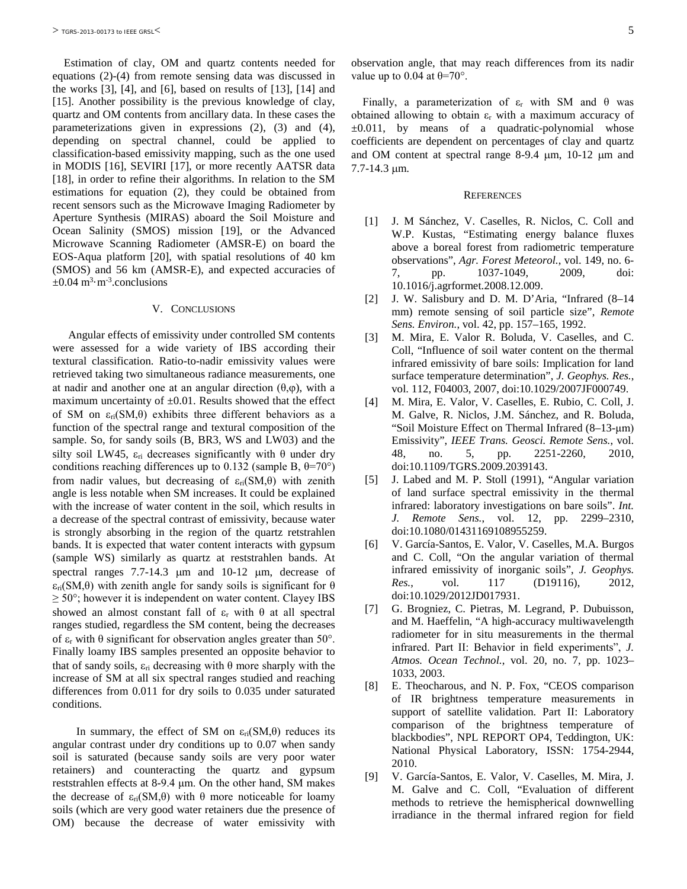Estimation of clay, OM and quartz contents needed for equations (2)-(4) from remote sensing data was discussed in the works  $[3]$ ,  $[4]$ , and  $[6]$ , based on results of  $[13]$ ,  $[14]$  and [15]. Another possibility is the previous knowledge of clay, quartz and OM contents from ancillary data. In these cases the parameterizations given in expressions (2), (3) and (4), depending on spectral channel, could be applied to classification-based emissivity mapping, such as the one used in MODIS [16], SEVIRI [17], or more recently AATSR data [18], in order to refine their algorithms. In relation to the SM estimations for equation (2), they could be obtained from recent sensors such as the Microwave Imaging Radiometer by Aperture Synthesis (MIRAS) aboard the Soil Moisture and Ocean Salinity (SMOS) mission [19], or the Advanced Microwave Scanning Radiometer (AMSR-E) on board the EOS-Aqua platform [20], with spatial resolutions of 40 km (SMOS) and 56 km (AMSR-E), and expected accuracies of  $\pm 0.04$  m<sup>3</sup> $\cdot$ m<sup>-3</sup>.conclusions

## V. CONCLUSIONS

Angular effects of emissivity under controlled SM contents were assessed for a wide variety of IBS according their textural classification. Ratio-to-nadir emissivity values were retrieved taking two simultaneous radiance measurements, one at nadir and another one at an angular direction  $(\theta,\varphi)$ , with a maximum uncertainty of  $\pm 0.01$ . Results showed that the effect of SM on  $\varepsilon_{ri}(SM,\theta)$  exhibits three different behaviors as a function of the spectral range and textural composition of the sample. So, for sandy soils (B, BR3, WS and LW03) and the silty soil LW45,  $\varepsilon_{ri}$  decreases significantly with  $\theta$  under dry conditions reaching differences up to 0.132 (sample B,  $\theta$ =70°) from nadir values, but decreasing of  $\varepsilon_{ri}(SM,\theta)$  with zenith angle is less notable when SM increases. It could be explained with the increase of water content in the soil, which results in a decrease of the spectral contrast of emissivity, because water is strongly absorbing in the region of the quartz retstrahlen bands. It is expected that water content interacts with gypsum (sample WS) similarly as quartz at reststrahlen bands. At spectral ranges 7.7-14.3 µm and 10-12 µm, decrease of  $\varepsilon_{ri}(SM,\theta)$  with zenith angle for sandy soils is significant for  $\theta$  $\geq$  50°; however it is independent on water content. Clayey IBS showed an almost constant fall of  $\varepsilon_r$  with  $\theta$  at all spectral ranges studied, regardless the SM content, being the decreases of ε<sup>r</sup> with θ significant for observation angles greater than 50°. Finally loamy IBS samples presented an opposite behavior to that of sandy soils,  $ε$ <sub>ri</sub> decreasing with θ more sharply with the increase of SM at all six spectral ranges studied and reaching differences from 0.011 for dry soils to 0.035 under saturated conditions.

In summary, the effect of SM on  $\varepsilon_{ri}(SM,\theta)$  reduces its angular contrast under dry conditions up to 0.07 when sandy soil is saturated (because sandy soils are very poor water retainers) and counteracting the quartz and gypsum reststrahlen effects at 8-9.4 μm. On the other hand, SM makes the decrease of  $ε_{ri}(SM,θ)$  with θ more noticeable for loamy soils (which are very good water retainers due the presence of OM) because the decrease of water emissivity with

Finally, a parameterization of  $ε$ <sub>r</sub> with SM and  $θ$  was obtained allowing to obtain  $\varepsilon_r$  with a maximum accuracy of ±0.011, by means of a quadratic-polynomial whose coefficients are dependent on percentages of clay and quartz and OM content at spectral range 8-9.4 µm, 10-12 µm and 7.7-14.3 µm.

#### **REFERENCES**

- [1] J. M Sánchez, V. Caselles, R. Niclos, C. Coll and W.P. Kustas, "Estimating energy balance fluxes above a boreal forest from radiometric temperature observations", *Agr. Forest Meteorol.*, vol. 149, no. 6- 7, pp. 1037-1049, 2009, doi: 10.1016/j.agrformet.2008.12.009.
- [2] J. W. Salisbury and D. M. D'Aria, "Infrared (8–14 mm) remote sensing of soil particle size", *Remote Sens. Environ.*, vol. 42, pp. 157–165, 1992.
- [3] M. Mira, E. Valor R. Boluda, V. Caselles, and C. Coll, "Influence of soil water content on the thermal infrared emissivity of bare soils: Implication for land surface temperature determination", *J. Geophys. Res.*, vol. 112, F04003, 2007, doi:10.1029/2007JF000749.
- [4] M. Mira, E. Valor, V. Caselles, E. Rubio, C. Coll, J. M. Galve, R. Niclos, J.M. Sánchez, and R. Boluda, "Soil Moisture Effect on Thermal Infrared (8–13-μm) Emissivity", *IEEE Trans. Geosci. Remote Sens.*, vol. 48, no. 5, pp. 2251-2260, 2010, doi:10.1109/TGRS.2009.2039143.
- [5] J. Labed and M. P. Stoll (1991), "Angular variation of land surface spectral emissivity in the thermal infrared: laboratory investigations on bare soils". *Int. J. Remote Sens.*, vol. 12, pp. 2299–2310, doi:10.1080/01431169108955259.
- [6] V. García-Santos, E. Valor, V. Caselles, M.A. Burgos and C. Coll, "On the angular variation of thermal infrared emissivity of inorganic soils", *J. Geophys. Res.*, vol. 117 (D19116), 2012, doi:10.1029/2012JD017931.
- [7] G. Brogniez, C. Pietras, M. Legrand, P. Dubuisson, and M. Haeffelin, "A high-accuracy multiwavelength radiometer for in situ measurements in the thermal infrared. Part II: Behavior in field experiments", *J. Atmos. Ocean Technol.*, vol. 20, no. 7, pp. 1023– 1033, 2003.
- [8] E. Theocharous, and N. P. Fox, "CEOS comparison of IR brightness temperature measurements in support of satellite validation. Part II: Laboratory comparison of the brightness temperature of blackbodies", NPL REPORT OP4, Teddington, UK: National Physical Laboratory, ISSN: 1754-2944, 2010.
- [9] V. García-Santos, E. Valor, V. Caselles, M. Mira, J. M. Galve and C. Coll, "Evaluation of different methods to retrieve the hemispherical downwelling irradiance in the thermal infrared region for field